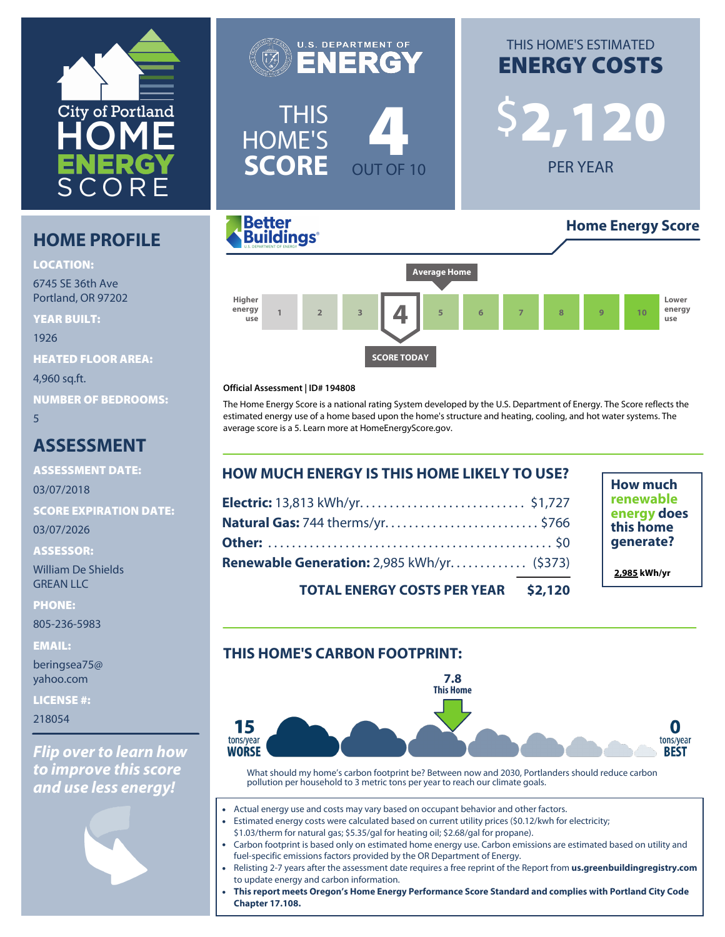

# **HOME PROFILE**

**LOCATION:**

6745 SE 36th Ave Portland, OR 97202

**YEAR BUILT:** 1926 **HEATED FLOOR AREA:** 4,960 sq.ft. **NUMBER OF BEDROOMS:** 5

## **ASSESSMENT**

**ASSESSMENT DATE:**

03/07/2018

**SCORE EXPIRATION DATE:**

03/07/2026

**ASSESSOR:**

William De Shields GREAN LLC

**PHONE:**

805-236-5983

**EMAIL:**

beringsea75@ yahoo.com

**LICENSE #:**

218054

*Flip over to learn how to improve this score and use less energy!*







#### **Official Assessment | ID# 194808**

The Home Energy Score is a national rating System developed by the U.S. Department of Energy. The Score reflects the estimated energy use of a home based upon the home's structure and heating, cooling, and hot water systems. The average score is a 5. Learn more at [HomeEnergyScore.gov.](https://homeenergyscore.gov)

| <b>HOW MUCH ENERGY IS THIS HOME LIKELY TO USE?</b> |  |  |
|----------------------------------------------------|--|--|
|                                                    |  |  |
| Natural Gas: 744 therms/yr\$766                    |  |  |
|                                                    |  |  |
| Renewable Generation: 2,985 kWh/yr (\$373)         |  |  |
| <b>TOTAL ENERGY COSTS PER YEAR \$2,120</b>         |  |  |

**How much renewable energy does this home generate?**

**2,985 kWh/yr**

**TOTAL ENERGY COSTS PER YEAR \$2,120**

## **THIS HOME'S CARBON FOOTPRINT:**



What should my home's carbon footprint be? Between now and 2030, Portlanders should reduce carbon pollution per household to 3 metric tons per year to reach our climate goals.

- Actual energy use and costs may vary based on occupant behavior and other factors.
- Estimated energy costs were calculated based on current utility prices (\$0.12/kwh for electricity;
- \$1.03/therm for natural gas; \$5.35/gal for heating oil; \$2.68/gal for propane).
- Carbon footprint is based only on estimated home energy use. Carbon emissions are estimated based on utility and fuel-specific emissions factors provided by the OR Department of Energy.
- Relisting 2-7 years after the assessment date requires a free reprint of the Report from **[us.greenbuildingregistry.com](https://us.greenbuildingregistry.com)** to update energy and carbon information.
- **This report meets Oregon's Home Energy Performance Score Standard and complies with Portland City Code Chapter 17.108.**